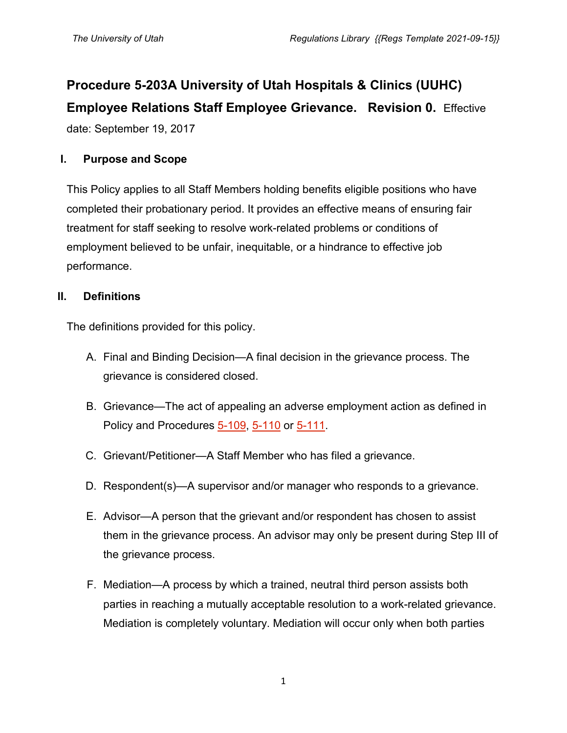# **Procedure 5-203A University of Utah Hospitals & Clinics (UUHC) Employee Relations Staff Employee Grievance. Revision 0.** Effective

date: September 19, 2017

# **I. Purpose and Scope**

This Policy applies to all Staff Members holding benefits eligible positions who have completed their probationary period. It provides an effective means of ensuring fair treatment for staff seeking to resolve work-related problems or conditions of employment believed to be unfair, inequitable, or a hindrance to effective job performance.

## **II. Definitions**

The definitions provided for this policy.

- A. Final and Binding Decision—A final decision in the grievance process. The grievance is considered closed.
- B. Grievance—The act of appealing an adverse employment action as defined in Policy and Procedures [5-109,](https://regulations.utah.edu/human-resources/5-109.php) [5-110](https://regulations.utah.edu/human-resources/5-110.php) or [5-111.](https://regulations.utah.edu/human-resources/5-111.php)
- C. Grievant/Petitioner—A Staff Member who has filed a grievance.
- D. Respondent(s)—A supervisor and/or manager who responds to a grievance.
- E. Advisor—A person that the grievant and/or respondent has chosen to assist them in the grievance process. An advisor may only be present during Step III of the grievance process.
- F. Mediation—A process by which a trained, neutral third person assists both parties in reaching a mutually acceptable resolution to a work-related grievance. Mediation is completely voluntary. Mediation will occur only when both parties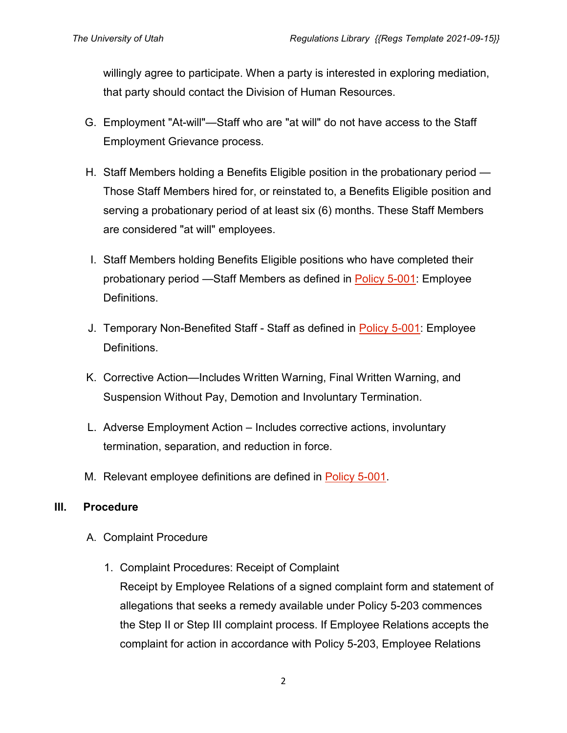willingly agree to participate. When a party is interested in exploring mediation, that party should contact the Division of Human Resources.

- G. Employment "At-will"—Staff who are "at will" do not have access to the Staff Employment Grievance process.
- H. Staff Members holding a Benefits Eligible position in the probationary period Those Staff Members hired for, or reinstated to, a Benefits Eligible position and serving a probationary period of at least six (6) months. These Staff Members are considered "at will" employees.
- I. Staff Members holding Benefits Eligible positions who have completed their probationary period —Staff Members as defined in [Policy 5-001:](https://regulations.utah.edu/human-resources/5-001.php) Employee Definitions.
- J. Temporary Non-Benefited Staff Staff as defined in **Policy 5-001**: Employee Definitions.
- K. Corrective Action—Includes Written Warning, Final Written Warning, and Suspension Without Pay, Demotion and Involuntary Termination.
- L. Adverse Employment Action Includes corrective actions, involuntary termination, separation, and reduction in force.
- M. Relevant employee definitions are defined in [Policy 5-001.](https://regulations.utah.edu/human-resources/5-001.php)

#### **III. Procedure**

- A. Complaint Procedure
	- 1. Complaint Procedures: Receipt of Complaint

Receipt by Employee Relations of a signed complaint form and statement of allegations that seeks a remedy available under Policy 5-203 commences the Step II or Step III complaint process. If Employee Relations accepts the complaint for action in accordance with Policy 5-203, Employee Relations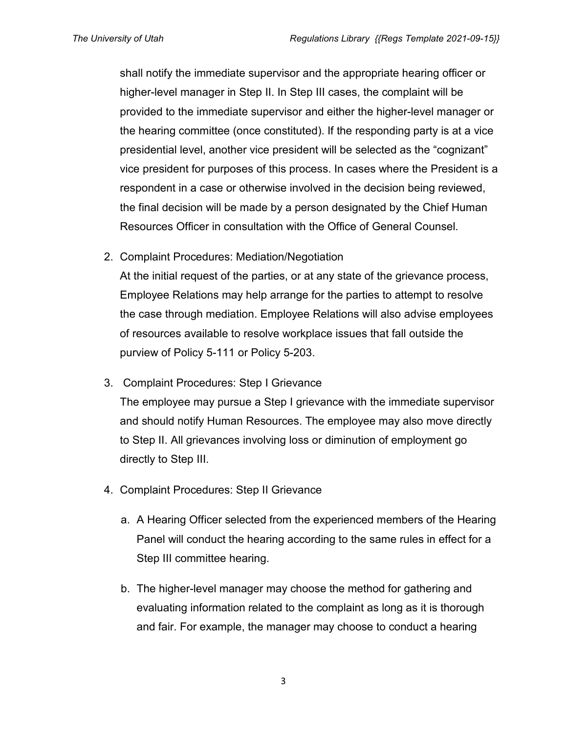shall notify the immediate supervisor and the appropriate hearing officer or higher-level manager in Step II. In Step III cases, the complaint will be provided to the immediate supervisor and either the higher-level manager or the hearing committee (once constituted). If the responding party is at a vice presidential level, another vice president will be selected as the "cognizant" vice president for purposes of this process. In cases where the President is a respondent in a case or otherwise involved in the decision being reviewed, the final decision will be made by a person designated by the Chief Human Resources Officer in consultation with the Office of General Counsel.

2. Complaint Procedures: Mediation/Negotiation

At the initial request of the parties, or at any state of the grievance process, Employee Relations may help arrange for the parties to attempt to resolve the case through mediation. Employee Relations will also advise employees of resources available to resolve workplace issues that fall outside the purview of Policy 5-111 or Policy 5-203.

3. Complaint Procedures: Step I Grievance

The employee may pursue a Step I grievance with the immediate supervisor and should notify Human Resources. The employee may also move directly to Step II. All grievances involving loss or diminution of employment go directly to Step III.

- 4. Complaint Procedures: Step II Grievance
	- a. A Hearing Officer selected from the experienced members of the Hearing Panel will conduct the hearing according to the same rules in effect for a Step III committee hearing.
	- b. The higher-level manager may choose the method for gathering and evaluating information related to the complaint as long as it is thorough and fair. For example, the manager may choose to conduct a hearing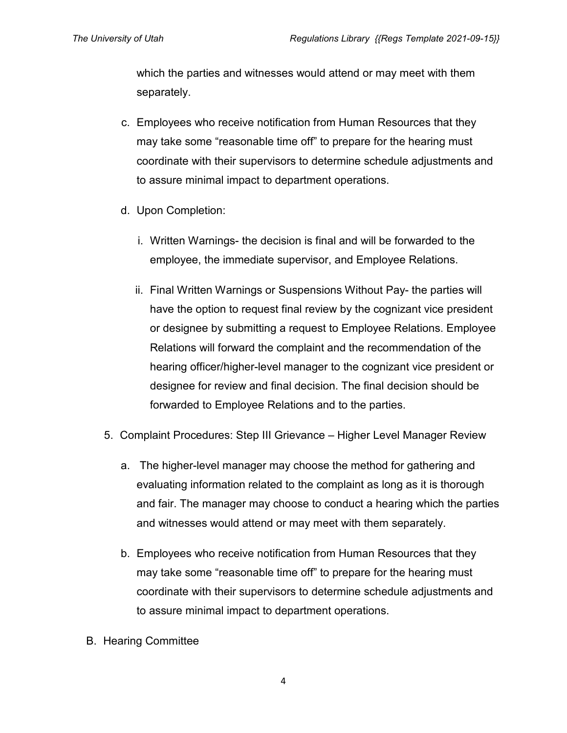which the parties and witnesses would attend or may meet with them separately.

- c. Employees who receive notification from Human Resources that they may take some "reasonable time off" to prepare for the hearing must coordinate with their supervisors to determine schedule adjustments and to assure minimal impact to department operations.
- d. Upon Completion:
	- i. Written Warnings- the decision is final and will be forwarded to the employee, the immediate supervisor, and Employee Relations.
	- ii. Final Written Warnings or Suspensions Without Pay- the parties will have the option to request final review by the cognizant vice president or designee by submitting a request to Employee Relations. Employee Relations will forward the complaint and the recommendation of the hearing officer/higher-level manager to the cognizant vice president or designee for review and final decision. The final decision should be forwarded to Employee Relations and to the parties.
- 5. Complaint Procedures: Step III Grievance Higher Level Manager Review
	- a. The higher-level manager may choose the method for gathering and evaluating information related to the complaint as long as it is thorough and fair. The manager may choose to conduct a hearing which the parties and witnesses would attend or may meet with them separately.
	- b. Employees who receive notification from Human Resources that they may take some "reasonable time off" to prepare for the hearing must coordinate with their supervisors to determine schedule adjustments and to assure minimal impact to department operations.
- B. Hearing Committee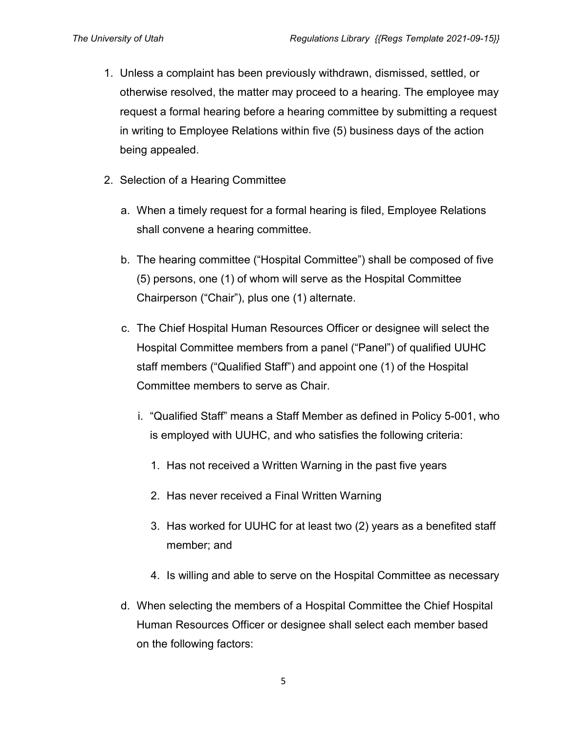- 1. Unless a complaint has been previously withdrawn, dismissed, settled, or otherwise resolved, the matter may proceed to a hearing. The employee may request a formal hearing before a hearing committee by submitting a request in writing to Employee Relations within five (5) business days of the action being appealed.
- 2. Selection of a Hearing Committee
	- a. When a timely request for a formal hearing is filed, Employee Relations shall convene a hearing committee.
	- b. The hearing committee ("Hospital Committee") shall be composed of five (5) persons, one (1) of whom will serve as the Hospital Committee Chairperson ("Chair"), plus one (1) alternate.
	- c. The Chief Hospital Human Resources Officer or designee will select the Hospital Committee members from a panel ("Panel") of qualified UUHC staff members ("Qualified Staff") and appoint one (1) of the Hospital Committee members to serve as Chair.
		- i. "Qualified Staff" means a Staff Member as defined in Policy 5-001, who is employed with UUHC, and who satisfies the following criteria:
			- 1. Has not received a Written Warning in the past five years
			- 2. Has never received a Final Written Warning
			- 3. Has worked for UUHC for at least two (2) years as a benefited staff member; and
			- 4. Is willing and able to serve on the Hospital Committee as necessary
	- d. When selecting the members of a Hospital Committee the Chief Hospital Human Resources Officer or designee shall select each member based on the following factors: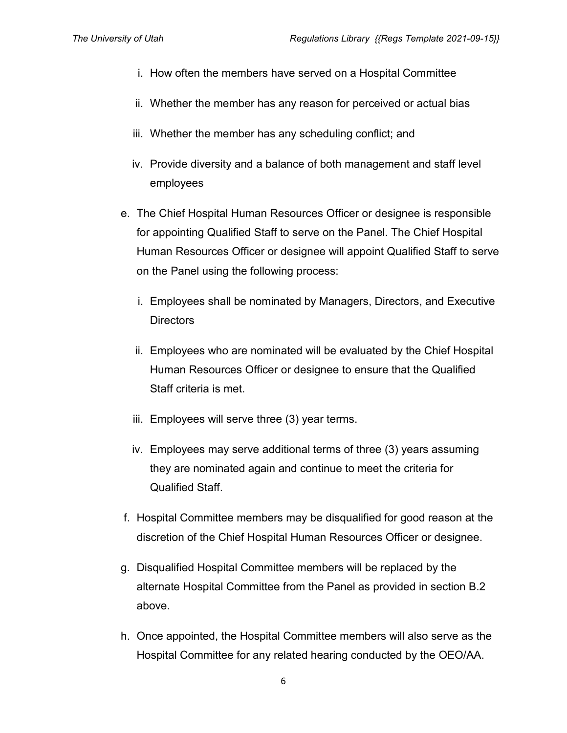- i. How often the members have served on a Hospital Committee
- ii. Whether the member has any reason for perceived or actual bias
- iii. Whether the member has any scheduling conflict; and
- iv. Provide diversity and a balance of both management and staff level employees
- e. The Chief Hospital Human Resources Officer or designee is responsible for appointing Qualified Staff to serve on the Panel. The Chief Hospital Human Resources Officer or designee will appoint Qualified Staff to serve on the Panel using the following process:
	- i. Employees shall be nominated by Managers, Directors, and Executive **Directors**
	- ii. Employees who are nominated will be evaluated by the Chief Hospital Human Resources Officer or designee to ensure that the Qualified Staff criteria is met.
	- iii. Employees will serve three (3) year terms.
	- iv. Employees may serve additional terms of three (3) years assuming they are nominated again and continue to meet the criteria for Qualified Staff.
- f. Hospital Committee members may be disqualified for good reason at the discretion of the Chief Hospital Human Resources Officer or designee.
- g. Disqualified Hospital Committee members will be replaced by the alternate Hospital Committee from the Panel as provided in section B.2 above.
- h. Once appointed, the Hospital Committee members will also serve as the Hospital Committee for any related hearing conducted by the OEO/AA.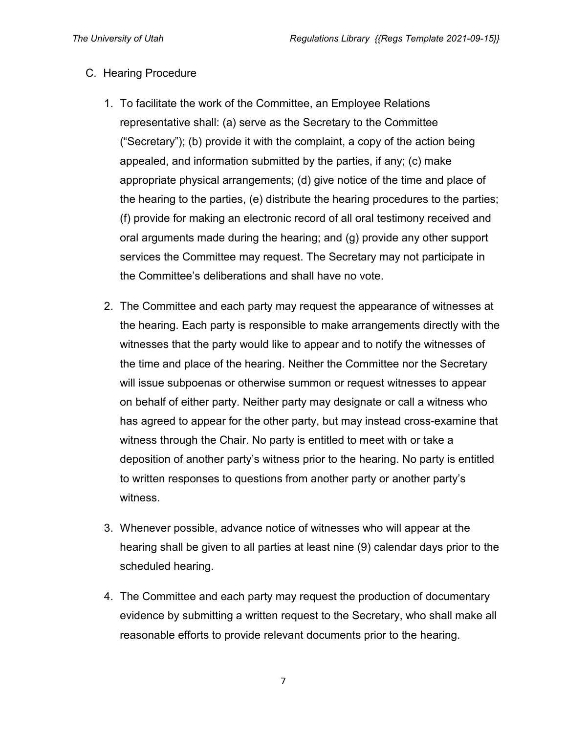#### C. Hearing Procedure

- 1. To facilitate the work of the Committee, an Employee Relations representative shall: (a) serve as the Secretary to the Committee ("Secretary"); (b) provide it with the complaint, a copy of the action being appealed, and information submitted by the parties, if any; (c) make appropriate physical arrangements; (d) give notice of the time and place of the hearing to the parties, (e) distribute the hearing procedures to the parties; (f) provide for making an electronic record of all oral testimony received and oral arguments made during the hearing; and (g) provide any other support services the Committee may request. The Secretary may not participate in the Committee's deliberations and shall have no vote.
- 2. The Committee and each party may request the appearance of witnesses at the hearing. Each party is responsible to make arrangements directly with the witnesses that the party would like to appear and to notify the witnesses of the time and place of the hearing. Neither the Committee nor the Secretary will issue subpoenas or otherwise summon or request witnesses to appear on behalf of either party. Neither party may designate or call a witness who has agreed to appear for the other party, but may instead cross-examine that witness through the Chair. No party is entitled to meet with or take a deposition of another party's witness prior to the hearing. No party is entitled to written responses to questions from another party or another party's witness.
- 3. Whenever possible, advance notice of witnesses who will appear at the hearing shall be given to all parties at least nine (9) calendar days prior to the scheduled hearing.
- 4. The Committee and each party may request the production of documentary evidence by submitting a written request to the Secretary, who shall make all reasonable efforts to provide relevant documents prior to the hearing.

7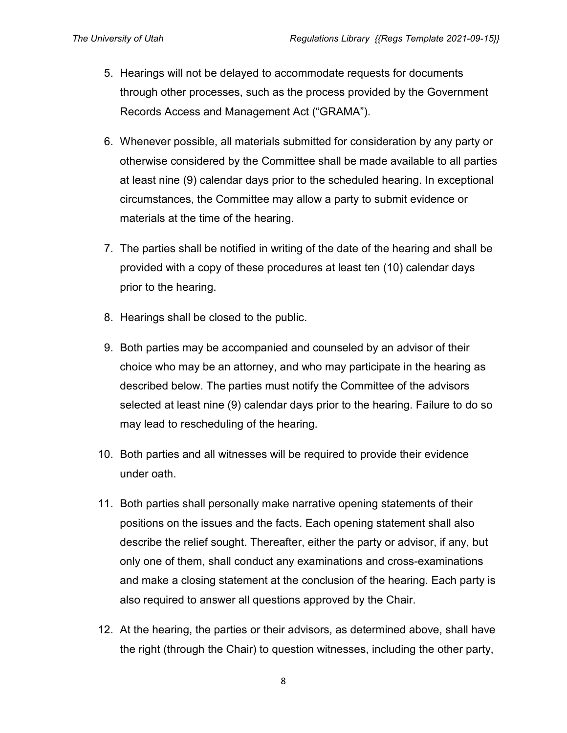- 5. Hearings will not be delayed to accommodate requests for documents through other processes, such as the process provided by the Government Records Access and Management Act ("GRAMA").
- 6. Whenever possible, all materials submitted for consideration by any party or otherwise considered by the Committee shall be made available to all parties at least nine (9) calendar days prior to the scheduled hearing. In exceptional circumstances, the Committee may allow a party to submit evidence or materials at the time of the hearing.
- 7. The parties shall be notified in writing of the date of the hearing and shall be provided with a copy of these procedures at least ten (10) calendar days prior to the hearing.
- 8. Hearings shall be closed to the public.
- 9. Both parties may be accompanied and counseled by an advisor of their choice who may be an attorney, and who may participate in the hearing as described below. The parties must notify the Committee of the advisors selected at least nine (9) calendar days prior to the hearing. Failure to do so may lead to rescheduling of the hearing.
- 10. Both parties and all witnesses will be required to provide their evidence under oath.
- 11. Both parties shall personally make narrative opening statements of their positions on the issues and the facts. Each opening statement shall also describe the relief sought. Thereafter, either the party or advisor, if any, but only one of them, shall conduct any examinations and cross-examinations and make a closing statement at the conclusion of the hearing. Each party is also required to answer all questions approved by the Chair.
- 12. At the hearing, the parties or their advisors, as determined above, shall have the right (through the Chair) to question witnesses, including the other party,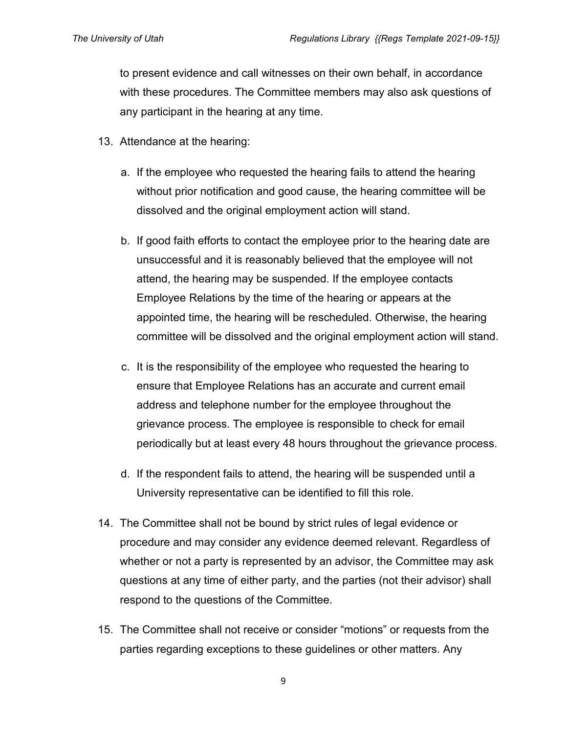to present evidence and call witnesses on their own behalf, in accordance with these procedures. The Committee members may also ask questions of any participant in the hearing at any time.

- 13. Attendance at the hearing:
	- a. If the employee who requested the hearing fails to attend the hearing without prior notification and good cause, the hearing committee will be dissolved and the original employment action will stand.
	- b. If good faith efforts to contact the employee prior to the hearing date are unsuccessful and it is reasonably believed that the employee will not attend, the hearing may be suspended. If the employee contacts Employee Relations by the time of the hearing or appears at the appointed time, the hearing will be rescheduled. Otherwise, the hearing committee will be dissolved and the original employment action will stand.
	- c. It is the responsibility of the employee who requested the hearing to ensure that Employee Relations has an accurate and current email address and telephone number for the employee throughout the grievance process. The employee is responsible to check for email periodically but at least every 48 hours throughout the grievance process.
	- d. If the respondent fails to attend, the hearing will be suspended until a University representative can be identified to fill this role.
- 14. The Committee shall not be bound by strict rules of legal evidence or procedure and may consider any evidence deemed relevant. Regardless of whether or not a party is represented by an advisor, the Committee may ask questions at any time of either party, and the parties (not their advisor) shall respond to the questions of the Committee.
- 15. The Committee shall not receive or consider "motions" or requests from the parties regarding exceptions to these guidelines or other matters. Any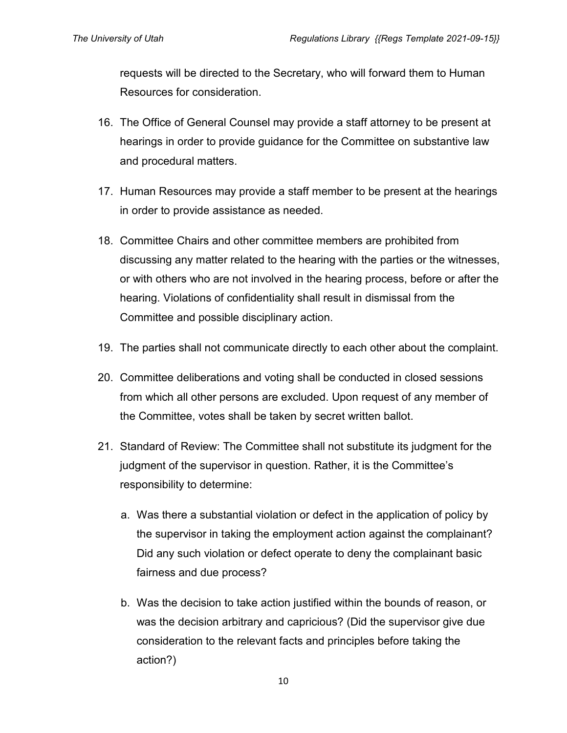requests will be directed to the Secretary, who will forward them to Human Resources for consideration.

- 16. The Office of General Counsel may provide a staff attorney to be present at hearings in order to provide guidance for the Committee on substantive law and procedural matters.
- 17. Human Resources may provide a staff member to be present at the hearings in order to provide assistance as needed.
- 18. Committee Chairs and other committee members are prohibited from discussing any matter related to the hearing with the parties or the witnesses, or with others who are not involved in the hearing process, before or after the hearing. Violations of confidentiality shall result in dismissal from the Committee and possible disciplinary action.
- 19. The parties shall not communicate directly to each other about the complaint.
- 20. Committee deliberations and voting shall be conducted in closed sessions from which all other persons are excluded. Upon request of any member of the Committee, votes shall be taken by secret written ballot.
- 21. Standard of Review: The Committee shall not substitute its judgment for the judgment of the supervisor in question. Rather, it is the Committee's responsibility to determine:
	- a. Was there a substantial violation or defect in the application of policy by the supervisor in taking the employment action against the complainant? Did any such violation or defect operate to deny the complainant basic fairness and due process?
	- b. Was the decision to take action justified within the bounds of reason, or was the decision arbitrary and capricious? (Did the supervisor give due consideration to the relevant facts and principles before taking the action?)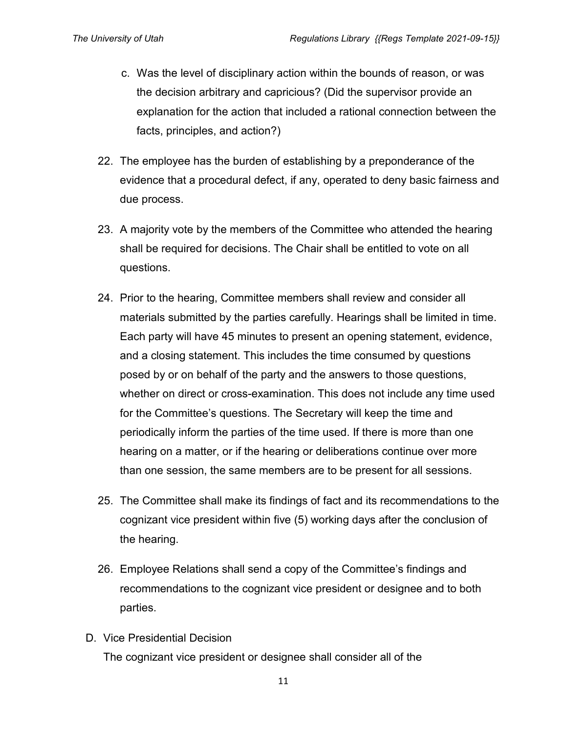- c. Was the level of disciplinary action within the bounds of reason, or was the decision arbitrary and capricious? (Did the supervisor provide an explanation for the action that included a rational connection between the facts, principles, and action?)
- 22. The employee has the burden of establishing by a preponderance of the evidence that a procedural defect, if any, operated to deny basic fairness and due process.
- 23. A majority vote by the members of the Committee who attended the hearing shall be required for decisions. The Chair shall be entitled to vote on all questions.
- 24. Prior to the hearing, Committee members shall review and consider all materials submitted by the parties carefully. Hearings shall be limited in time. Each party will have 45 minutes to present an opening statement, evidence, and a closing statement. This includes the time consumed by questions posed by or on behalf of the party and the answers to those questions, whether on direct or cross-examination. This does not include any time used for the Committee's questions. The Secretary will keep the time and periodically inform the parties of the time used. If there is more than one hearing on a matter, or if the hearing or deliberations continue over more than one session, the same members are to be present for all sessions.
- 25. The Committee shall make its findings of fact and its recommendations to the cognizant vice president within five (5) working days after the conclusion of the hearing.
- 26. Employee Relations shall send a copy of the Committee's findings and recommendations to the cognizant vice president or designee and to both parties.
- D. Vice Presidential Decision The cognizant vice president or designee shall consider all of the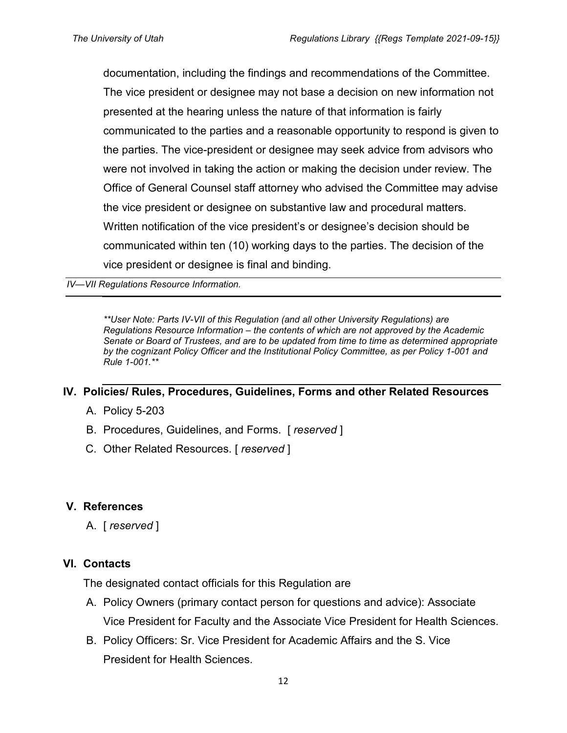documentation, including the findings and recommendations of the Committee. The vice president or designee may not base a decision on new information not presented at the hearing unless the nature of that information is fairly communicated to the parties and a reasonable opportunity to respond is given to the parties. The vice-president or designee may seek advice from advisors who were not involved in taking the action or making the decision under review. The Office of General Counsel staff attorney who advised the Committee may advise the vice president or designee on substantive law and procedural matters. Written notification of the vice president's or designee's decision should be communicated within ten (10) working days to the parties. The decision of the vice president or designee is final and binding.

*IV—VII Regulations Resource Information.*

*\*\*User Note: Parts IV-VII of this Regulation (and all other University Regulations) are Regulations Resource Information – the contents of which are not approved by the Academic Senate or Board of Trustees, and are to be updated from time to time as determined appropriate by the cognizant Policy Officer and the Institutional Policy Committee, as per Policy 1-001 and Rule 1-001.\*\**

#### **IV. Policies/ Rules, Procedures, Guidelines, Forms and other Related Resources**

- A. Policy 5-203
- B. Procedures, Guidelines, and Forms. [ *reserved* ]
- C. Other Related Resources. [ *reserved* ]

#### **V. References**

A. [ *reserved* ]

#### **VI. Contacts**

The designated contact officials for this Regulation are

- A. Policy Owners (primary contact person for questions and advice): Associate Vice President for Faculty and the Associate Vice President for Health Sciences.
- B. Policy Officers: Sr. Vice President for Academic Affairs and the S. Vice President for Health Sciences.